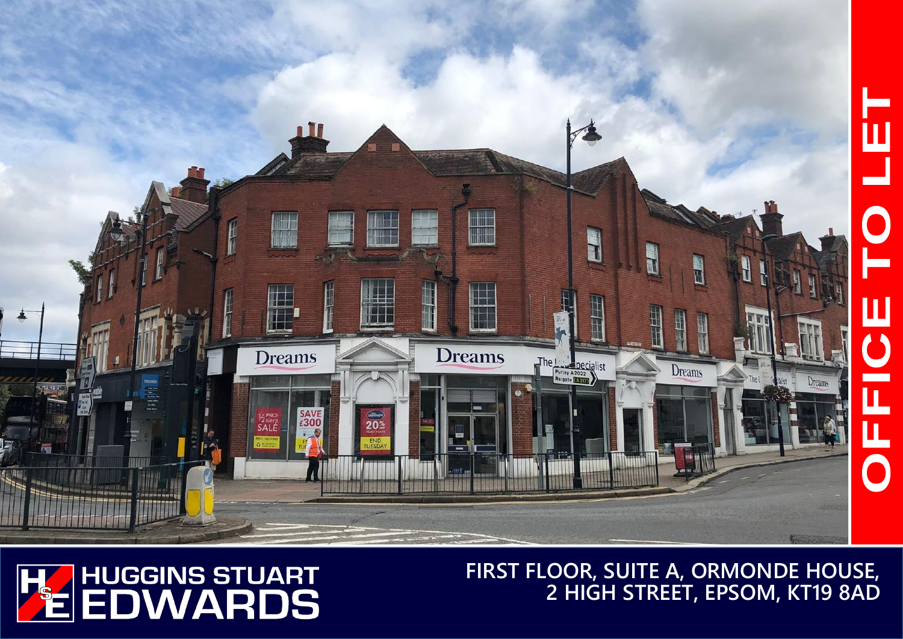



**FIRST FLOOR, SUITE A, ORMONDE HOUSE, 2 HIGH STREET, EPSOM, KT19 8AD**